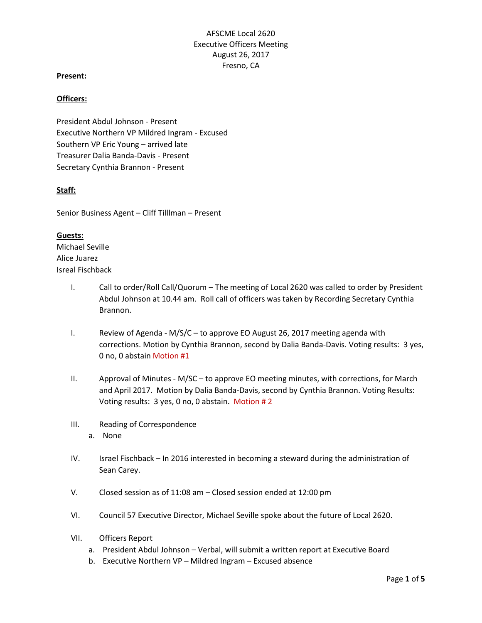# AFSCME Local 2620 Executive Officers Meeting August 26, 2017 Fresno, CA

### **Present:**

### **Officers:**

President Abdul Johnson - Present Executive Northern VP Mildred Ingram - Excused Southern VP Eric Young – arrived late Treasurer Dalia Banda-Davis - Present Secretary Cynthia Brannon - Present

### **Staff:**

Senior Business Agent – Cliff Tilllman – Present

#### **Guests:**

Michael Seville Alice Juarez Isreal Fischback

- I. Call to order/Roll Call/Quorum The meeting of Local 2620 was called to order by President Abdul Johnson at 10.44 am. Roll call of officers was taken by Recording Secretary Cynthia Brannon.
- I. Review of Agenda M/S/C to approve EO August 26, 2017 meeting agenda with corrections. Motion by Cynthia Brannon, second by Dalia Banda-Davis. Voting results: 3 yes, 0 no, 0 abstain Motion #1
- II. Approval of Minutes M/SC to approve EO meeting minutes, with corrections, for March and April 2017. Motion by Dalia Banda-Davis, second by Cynthia Brannon. Voting Results: Voting results: 3 yes, 0 no, 0 abstain. Motion # 2
- III. Reading of Correspondence a. None
- IV. Israel Fischback In 2016 interested in becoming a steward during the administration of Sean Carey.
- V. Closed session as of 11:08 am Closed session ended at 12:00 pm
- VI. Council 57 Executive Director, Michael Seville spoke about the future of Local 2620.
- VII. Officers Report
	- a. President Abdul Johnson Verbal, will submit a written report at Executive Board
	- b. Executive Northern VP Mildred Ingram Excused absence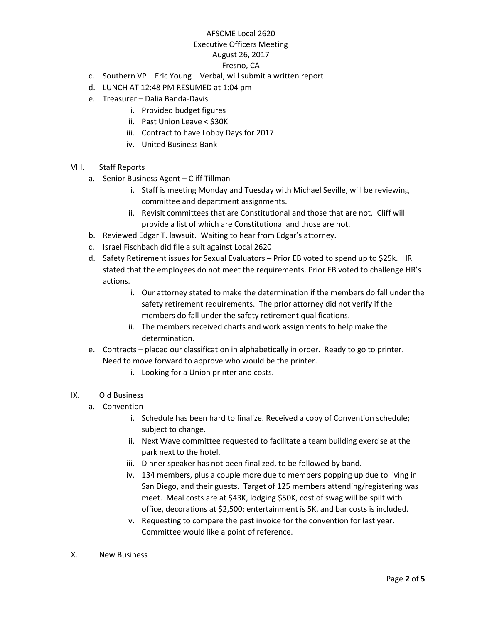## AFSCME Local 2620

## Executive Officers Meeting

### August 26, 2017

### Fresno, CA

- c. Southern VP Eric Young Verbal, will submit a written report
- d. LUNCH AT 12:48 PM RESUMED at 1:04 pm
- e. Treasurer Dalia Banda-Davis
	- i. Provided budget figures
	- ii. Past Union Leave < \$30K
	- iii. Contract to have Lobby Days for 2017
	- iv. United Business Bank
- VIII. Staff Reports
	- a. Senior Business Agent Cliff Tillman
		- i. Staff is meeting Monday and Tuesday with Michael Seville, will be reviewing committee and department assignments.
		- ii. Revisit committees that are Constitutional and those that are not. Cliff will provide a list of which are Constitutional and those are not.
	- b. Reviewed Edgar T. lawsuit. Waiting to hear from Edgar's attorney.
	- c. Israel Fischbach did file a suit against Local 2620
	- d. Safety Retirement issues for Sexual Evaluators Prior EB voted to spend up to \$25k. HR stated that the employees do not meet the requirements. Prior EB voted to challenge HR's actions.
		- i. Our attorney stated to make the determination if the members do fall under the safety retirement requirements. The prior attorney did not verify if the members do fall under the safety retirement qualifications.
		- ii. The members received charts and work assignments to help make the determination.
	- e. Contracts placed our classification in alphabetically in order. Ready to go to printer.
		- Need to move forward to approve who would be the printer.
			- i. Looking for a Union printer and costs.
- IX. Old Business
	- a. Convention
		- i. Schedule has been hard to finalize. Received a copy of Convention schedule; subject to change.
		- ii. Next Wave committee requested to facilitate a team building exercise at the park next to the hotel.
		- iii. Dinner speaker has not been finalized, to be followed by band.
		- iv. 134 members, plus a couple more due to members popping up due to living in San Diego, and their guests. Target of 125 members attending/registering was meet. Meal costs are at \$43K, lodging \$50K, cost of swag will be spilt with office, decorations at \$2,500; entertainment is 5K, and bar costs is included.
		- v. Requesting to compare the past invoice for the convention for last year. Committee would like a point of reference.
- X. New Business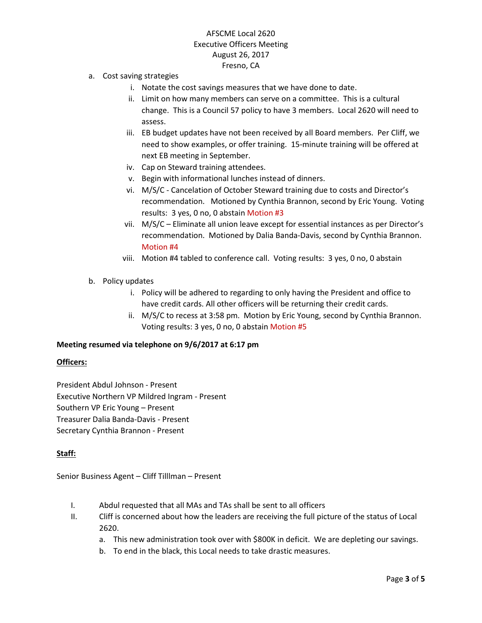# AFSCME Local 2620 Executive Officers Meeting August 26, 2017 Fresno, CA

- a. Cost saving strategies
	- i. Notate the cost savings measures that we have done to date.
	- ii. Limit on how many members can serve on a committee. This is a cultural change. This is a Council 57 policy to have 3 members. Local 2620 will need to assess.
	- iii. EB budget updates have not been received by all Board members. Per Cliff, we need to show examples, or offer training. 15-minute training will be offered at next EB meeting in September.
	- iv. Cap on Steward training attendees.
	- v. Begin with informational lunches instead of dinners.
	- vi. M/S/C Cancelation of October Steward training due to costs and Director's recommendation. Motioned by Cynthia Brannon, second by Eric Young. Voting results: 3 yes, 0 no, 0 abstain Motion #3
	- vii. M/S/C Eliminate all union leave except for essential instances as per Director's recommendation. Motioned by Dalia Banda-Davis, second by Cynthia Brannon. Motion #4
	- viii. Motion #4 tabled to conference call. Voting results: 3 yes, 0 no, 0 abstain
- b. Policy updates
	- i. Policy will be adhered to regarding to only having the President and office to have credit cards. All other officers will be returning their credit cards.
	- ii. M/S/C to recess at 3:58 pm.Motion by Eric Young, second by Cynthia Brannon. Voting results: 3 yes, 0 no, 0 abstain Motion #5

#### **Meeting resumed via telephone on 9/6/2017 at 6:17 pm**

#### **Officers:**

President Abdul Johnson - Present Executive Northern VP Mildred Ingram - Present Southern VP Eric Young – Present Treasurer Dalia Banda-Davis - Present Secretary Cynthia Brannon - Present

#### **Staff:**

Senior Business Agent – Cliff Tilllman – Present

- I. Abdul requested that all MAs and TAs shall be sent to all officers
- II. Cliff is concerned about how the leaders are receiving the full picture of the status of Local 2620.
	- a. This new administration took over with \$800K in deficit. We are depleting our savings.
	- b. To end in the black, this Local needs to take drastic measures.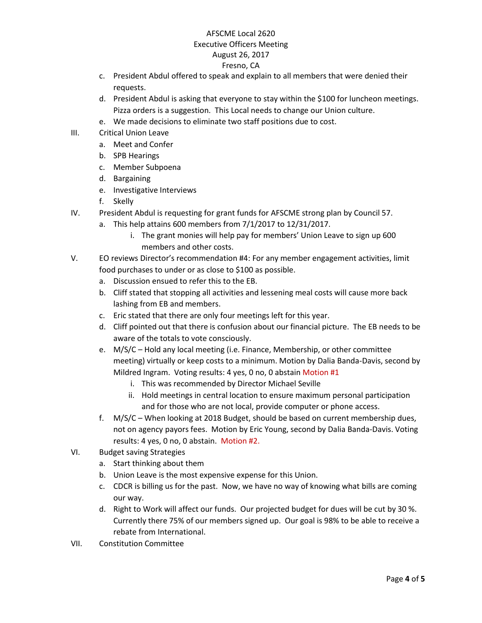## AFSCME Local 2620

### Executive Officers Meeting

## August 26, 2017

## Fresno, CA

- c. President Abdul offered to speak and explain to all members that were denied their requests.
- d. President Abdul is asking that everyone to stay within the \$100 for luncheon meetings. Pizza orders is a suggestion. This Local needs to change our Union culture.
- e. We made decisions to eliminate two staff positions due to cost.
- III. Critical Union Leave
	- a. Meet and Confer
	- b. SPB Hearings
	- c. Member Subpoena
	- d. Bargaining
	- e. Investigative Interviews
	- f. Skelly
- IV. President Abdul is requesting for grant funds for AFSCME strong plan by Council 57.
	- a. This help attains 600 members from 7/1/2017 to 12/31/2017.
		- i. The grant monies will help pay for members' Union Leave to sign up 600 members and other costs.
- V. EO reviews Director's recommendation #4: For any member engagement activities, limit food purchases to under or as close to \$100 as possible.
	- a. Discussion ensued to refer this to the EB.
	- b. Cliff stated that stopping all activities and lessening meal costs will cause more back lashing from EB and members.
	- c. Eric stated that there are only four meetings left for this year.
	- d. Cliff pointed out that there is confusion about our financial picture. The EB needs to be aware of the totals to vote consciously.
	- e. M/S/C Hold any local meeting (i.e. Finance, Membership, or other committee meeting) virtually or keep costs to a minimum. Motion by Dalia Banda-Davis, second by Mildred Ingram. Voting results: 4 yes, 0 no, 0 abstain Motion #1
		- i. This was recommended by Director Michael Seville
		- ii. Hold meetings in central location to ensure maximum personal participation and for those who are not local, provide computer or phone access.
	- f. M/S/C When looking at 2018 Budget, should be based on current membership dues, not on agency payors fees. Motion by Eric Young, second by Dalia Banda-Davis. Voting results: 4 yes, 0 no, 0 abstain. Motion #2.
- VI. Budget saving Strategies
	- a. Start thinking about them
	- b. Union Leave is the most expensive expense for this Union.
	- c. CDCR is billing us for the past. Now, we have no way of knowing what bills are coming our way.
	- d. Right to Work will affect our funds. Our projected budget for dues will be cut by 30 %. Currently there 75% of our members signed up. Our goal is 98% to be able to receive a rebate from International.
- VII. Constitution Committee